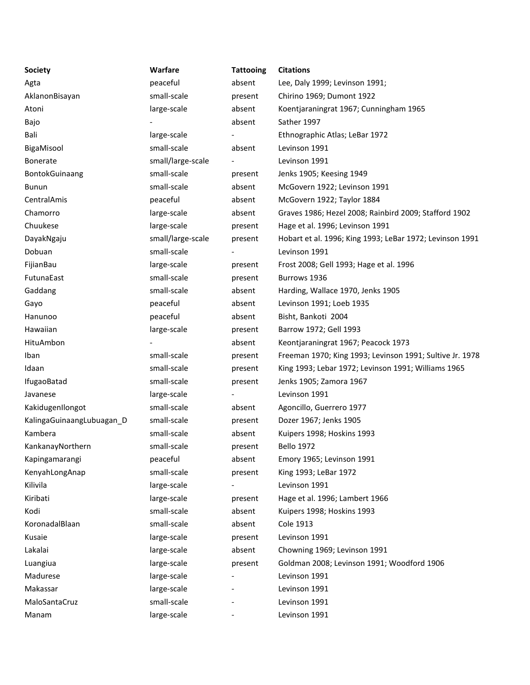| <b>Society</b>            | Warfare           | <b>Tattooing</b> | <b>Citations</b>                                         |  |
|---------------------------|-------------------|------------------|----------------------------------------------------------|--|
| Agta                      | peaceful          | absent           | Lee, Daly 1999; Levinson 1991;                           |  |
| AklanonBisayan            | small-scale       | present          | Chirino 1969; Dumont 1922                                |  |
| Atoni                     | large-scale       | absent           | Koentjaraningrat 1967; Cunningham 1965                   |  |
| Bajo                      |                   | absent           | Sather 1997                                              |  |
| Bali                      | large-scale       |                  | Ethnographic Atlas; LeBar 1972                           |  |
| BigaMisool                | small-scale       | absent           | Levinson 1991                                            |  |
| Bonerate                  | small/large-scale |                  | Levinson 1991                                            |  |
| BontokGuinaang            | small-scale       | present          | Jenks 1905; Keesing 1949                                 |  |
| Bunun                     | small-scale       | absent           | McGovern 1922; Levinson 1991                             |  |
| CentralAmis               | peaceful          | absent           | McGovern 1922; Taylor 1884                               |  |
| Chamorro                  | large-scale       | absent           | Graves 1986; Hezel 2008; Rainbird 2009; Stafford 1902    |  |
| Chuukese                  | large-scale       | present          | Hage et al. 1996; Levinson 1991                          |  |
| DayakNgaju                | small/large-scale | present          | Hobart et al. 1996; King 1993; LeBar 1972; Levinson 1991 |  |
| Dobuan                    | small-scale       |                  | Levinson 1991                                            |  |
| FijianBau                 | large-scale       | present          | Frost 2008; Gell 1993; Hage et al. 1996                  |  |
| FutunaEast                | small-scale       | present          | Burrows 1936                                             |  |
| Gaddang                   | small-scale       | absent           | Harding, Wallace 1970, Jenks 1905                        |  |
| Gayo                      | peaceful          | absent           | Levinson 1991; Loeb 1935                                 |  |
| Hanunoo                   | peaceful          | absent           | Bisht, Bankoti 2004                                      |  |
| Hawaiian                  | large-scale       | present          | Barrow 1972; Gell 1993                                   |  |
| HituAmbon                 |                   | absent           | Keontjaraningrat 1967; Peacock 1973                      |  |
| Iban                      | small-scale       | present          | Freeman 1970; King 1993; Levinson 1991; Sultive Jr. 1978 |  |
| Idaan                     | small-scale       | present          | King 1993; Lebar 1972; Levinson 1991; Williams 1965      |  |
| <b>IfugaoBatad</b>        | small-scale       | present          | Jenks 1905; Zamora 1967                                  |  |
| Javanese                  | large-scale       |                  | Levinson 1991                                            |  |
| KakidugenIlongot          | small-scale       | absent           | Agoncillo, Guerrero 1977                                 |  |
| KalingaGuinaangLubuagan_D | small-scale       | present          | Dozer 1967; Jenks 1905                                   |  |
| Kambera                   | small-scale       | absent           | Kuipers 1998; Hoskins 1993                               |  |
| KankanayNorthern          | small-scale       | present          | <b>Bello 1972</b>                                        |  |
| Kapingamarangi            | peaceful          | absent           | Emory 1965; Levinson 1991                                |  |
| KenyahLongAnap            | small-scale       | present          | King 1993; LeBar 1972                                    |  |
| Kilivila                  | large-scale       |                  | Levinson 1991                                            |  |
| Kiribati                  | large-scale       | present          | Hage et al. 1996; Lambert 1966                           |  |
| Kodi                      | small-scale       | absent           | Kuipers 1998; Hoskins 1993                               |  |
| KoronadalBlaan            | small-scale       | absent           | Cole 1913                                                |  |
| Kusaie                    | large-scale       | present          | Levinson 1991                                            |  |
| Lakalai                   | large-scale       | absent           | Chowning 1969; Levinson 1991                             |  |
| Luangiua                  | large-scale       | present          | Goldman 2008; Levinson 1991; Woodford 1906               |  |
| Madurese                  | large-scale       |                  | Levinson 1991                                            |  |
| Makassar                  | large-scale       |                  | Levinson 1991                                            |  |
| MaloSantaCruz             | small-scale       |                  | Levinson 1991                                            |  |
| Manam                     | large-scale       |                  | Levinson 1991                                            |  |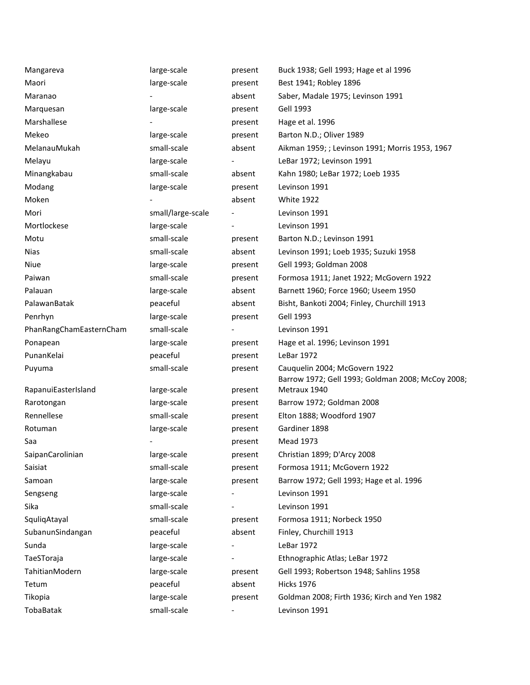| Mangareva               | large-scale       | present | Buck 1938; Gell 1993; Hage et al 1996                                              |  |
|-------------------------|-------------------|---------|------------------------------------------------------------------------------------|--|
| Maori                   | large-scale       | present | Best 1941; Robley 1896                                                             |  |
| Maranao                 |                   | absent  | Saber, Madale 1975; Levinson 1991                                                  |  |
| Marquesan               | large-scale       | present | Gell 1993                                                                          |  |
| Marshallese             |                   | present | Hage et al. 1996                                                                   |  |
| Mekeo                   | large-scale       | present | Barton N.D.; Oliver 1989                                                           |  |
| MelanauMukah            | small-scale       | absent  | Aikman 1959; ; Levinson 1991; Morris 1953, 1967                                    |  |
| Melayu                  | large-scale       |         | LeBar 1972; Levinson 1991                                                          |  |
| Minangkabau             | small-scale       | absent  | Kahn 1980; LeBar 1972; Loeb 1935                                                   |  |
| Modang                  | large-scale       | present | Levinson 1991                                                                      |  |
| Moken                   |                   | absent  | <b>White 1922</b>                                                                  |  |
| Mori                    | small/large-scale |         | Levinson 1991                                                                      |  |
| Mortlockese             | large-scale       |         | Levinson 1991                                                                      |  |
| Motu                    | small-scale       | present | Barton N.D.; Levinson 1991                                                         |  |
| <b>Nias</b>             | small-scale       | absent  | Levinson 1991; Loeb 1935; Suzuki 1958                                              |  |
| Niue                    | large-scale       | present | Gell 1993; Goldman 2008                                                            |  |
| Paiwan                  | small-scale       | present | Formosa 1911; Janet 1922; McGovern 1922                                            |  |
| Palauan                 | large-scale       | absent  | Barnett 1960; Force 1960; Useem 1950                                               |  |
| PalawanBatak            | peaceful          | absent  | Bisht, Bankoti 2004; Finley, Churchill 1913                                        |  |
| Penrhyn                 | large-scale       | present | <b>Gell 1993</b>                                                                   |  |
| PhanRangChamEasternCham | small-scale       |         | Levinson 1991                                                                      |  |
| Ponapean                | large-scale       | present | Hage et al. 1996; Levinson 1991                                                    |  |
| PunanKelai              | peaceful          | present | LeBar 1972                                                                         |  |
| Puyuma                  | small-scale       | present | Cauquelin 2004; McGovern 1922<br>Barrow 1972; Gell 1993; Goldman 2008; McCoy 2008; |  |
| RapanuiEasterIsland     | large-scale       | present | Metraux 1940                                                                       |  |
| Rarotongan              | large-scale       | present | Barrow 1972; Goldman 2008                                                          |  |
| Rennellese              | small-scale       | present | Elton 1888; Woodford 1907                                                          |  |
| Rotuman                 | large-scale       | present | Gardiner 1898                                                                      |  |
| Saa                     |                   | present | <b>Mead 1973</b>                                                                   |  |
| SaipanCarolinian        | large-scale       | present | Christian 1899; D'Arcy 2008                                                        |  |
| Saisiat                 | small-scale       | present | Formosa 1911; McGovern 1922                                                        |  |
| Samoan                  | large-scale       | present | Barrow 1972; Gell 1993; Hage et al. 1996                                           |  |
| Sengseng                | large-scale       |         | Levinson 1991                                                                      |  |
| Sika                    | small-scale       |         | Levinson 1991                                                                      |  |
| SquliqAtayal            | small-scale       | present | Formosa 1911; Norbeck 1950                                                         |  |
| SubanunSindangan        | peaceful          | absent  | Finley, Churchill 1913                                                             |  |
| Sunda                   | large-scale       |         | LeBar 1972                                                                         |  |
| TaeSToraja              | large-scale       |         | Ethnographic Atlas; LeBar 1972                                                     |  |
| TahitianModern          | large-scale       | present | Gell 1993; Robertson 1948; Sahlins 1958                                            |  |
| Tetum                   | peaceful          | absent  | <b>Hicks 1976</b>                                                                  |  |
| Tikopia                 | large-scale       | present | Goldman 2008; Firth 1936; Kirch and Yen 1982                                       |  |
| TobaBatak               | small-scale       |         | Levinson 1991                                                                      |  |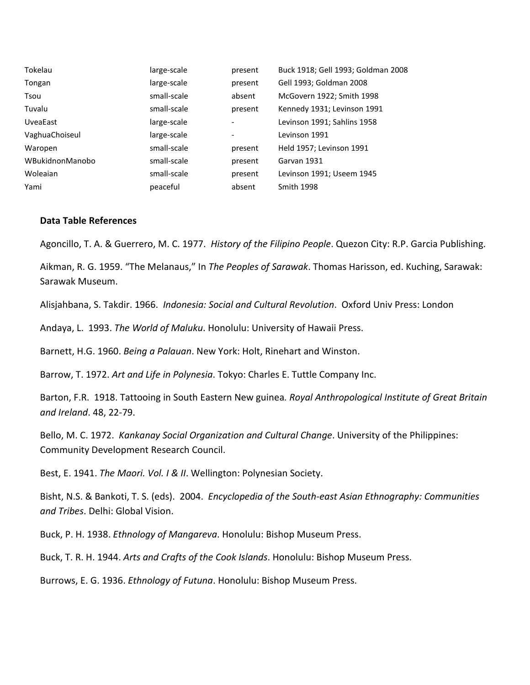| Tokelau         | large-scale | present                  | Buck 1918; Gell 1993; Goldman 2008 |
|-----------------|-------------|--------------------------|------------------------------------|
| Tongan          | large-scale | present                  | Gell 1993; Goldman 2008            |
| Tsou            | small-scale | absent                   | McGovern 1922; Smith 1998          |
| Tuvalu          | small-scale | present                  | Kennedy 1931; Levinson 1991        |
| <b>UveaEast</b> | large-scale | $\overline{\phantom{a}}$ | Levinson 1991; Sahlins 1958        |
| VaghuaChoiseul  | large-scale | $\overline{\phantom{a}}$ | Levinson 1991                      |
| Waropen         | small-scale | present                  | Held 1957; Levinson 1991           |
| WBukidnonManobo | small-scale | present                  | Garvan 1931                        |
| Woleaian        | small-scale | present                  | Levinson 1991; Useem 1945          |
| Yami            | peaceful    | absent                   | <b>Smith 1998</b>                  |

## **Data Table References**

Agoncillo, T. A. & Guerrero, M. C. 1977. *History of the Filipino People*. Quezon City: R.P. Garcia Publishing.

Aikman, R. G. 1959. "The Melanaus," In *The Peoples of Sarawak*. Thomas Harisson, ed. Kuching, Sarawak: Sarawak Museum.

Alisjahbana, S. Takdir. 1966. *Indonesia: Social and Cultural Revolution*. Oxford Univ Press: London

Andaya, L. 1993. *The World of Maluku*. Honolulu: University of Hawaii Press.

Barnett, H.G. 1960. *Being a Palauan*. New York: Holt, Rinehart and Winston.

Barrow, T. 1972. *Art and Life in Polynesia*. Tokyo: Charles E. Tuttle Company Inc.

Barton, F.R. 1918. Tattooing in South Eastern New guinea*. Royal Anthropological Institute of Great Britain and Ireland*. 48, 22-79.

Bello, M. C. 1972. *Kankanay Social Organization and Cultural Change*. University of the Philippines: Community Development Research Council.

Best, E. 1941. *The Maori. Vol. I & II*. Wellington: Polynesian Society.

Bisht, N.S. & Bankoti, T. S. (eds). 2004. *Encyclopedia of the South-east Asian Ethnography: Communities and Tribes*. Delhi: Global Vision.

Buck, P. H. 1938. *Ethnology of Mangareva*. Honolulu: Bishop Museum Press.

Buck, T. R. H. 1944. *Arts and Crafts of the Cook Islands*. Honolulu: Bishop Museum Press.

Burrows, E. G. 1936. *Ethnology of Futuna*. Honolulu: Bishop Museum Press.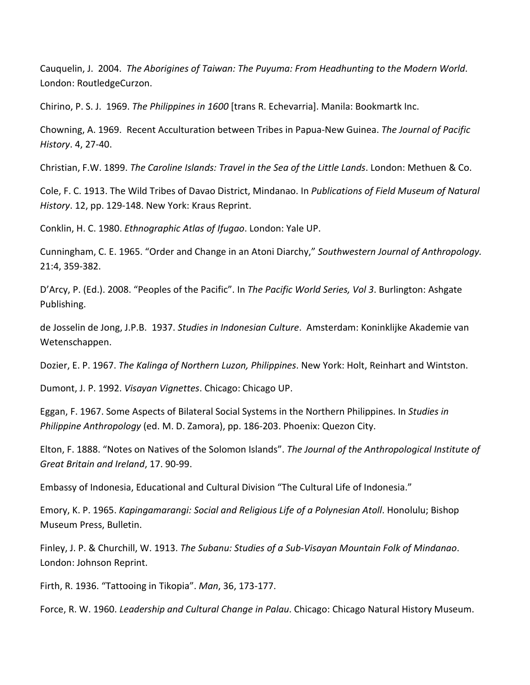Cauquelin, J. 2004. *The Aborigines of Taiwan: The Puyuma: From Headhunting to the Modern World*. London: RoutledgeCurzon.

Chirino, P. S. J. 1969. *The Philippines in 1600* [trans R. Echevarria]. Manila: Bookmartk Inc.

Chowning, A. 1969. Recent Acculturation between Tribes in Papua-New Guinea. *The Journal of Pacific History*. 4, 27-40.

Christian, F.W. 1899. *The Caroline Islands: Travel in the Sea of the Little Lands*. London: Methuen & Co.

Cole, F. C. 1913. The Wild Tribes of Davao District, Mindanao. In *Publications of Field Museum of Natural History*. 12, pp. 129-148. New York: Kraus Reprint.

Conklin, H. C. 1980. *Ethnographic Atlas of Ifugao*. London: Yale UP.

Cunningham, C. E. 1965. "Order and Change in an Atoni Diarchy," *Southwestern Journal of Anthropology.* 21:4, 359-382.

D'Arcy, P. (Ed.). 2008. "Peoples of the Pacific". In *The Pacific World Series, Vol 3*. Burlington: Ashgate Publishing.

de Josselin de Jong, J.P.B. 1937. *Studies in Indonesian Culture*. Amsterdam: Koninklijke Akademie van Wetenschappen.

Dozier, E. P. 1967. *The Kalinga of Northern Luzon, Philippines*. New York: Holt, Reinhart and Wintston.

Dumont, J. P. 1992. *Visayan Vignettes*. Chicago: Chicago UP.

Eggan, F. 1967. Some Aspects of Bilateral Social Systems in the Northern Philippines. In *Studies in Philippine Anthropology* (ed. M. D. Zamora), pp. 186-203. Phoenix: Quezon City.

Elton, F. 1888. "Notes on Natives of the Solomon Islands". *The Journal of the Anthropological Institute of Great Britain and Ireland*, 17. 90-99.

Embassy of Indonesia, Educational and Cultural Division "The Cultural Life of Indonesia."

Emory, K. P. 1965. *Kapingamarangi: Social and Religious Life of a Polynesian Atoll*. Honolulu; Bishop Museum Press, Bulletin.

Finley, J. P. & Churchill, W. 1913. *The Subanu: Studies of a Sub-Visayan Mountain Folk of Mindanao*. London: Johnson Reprint.

Firth, R. 1936. "Tattooing in Tikopia". *Man*, 36, 173-177.

Force, R. W. 1960. *Leadership and Cultural Change in Palau*. Chicago: Chicago Natural History Museum.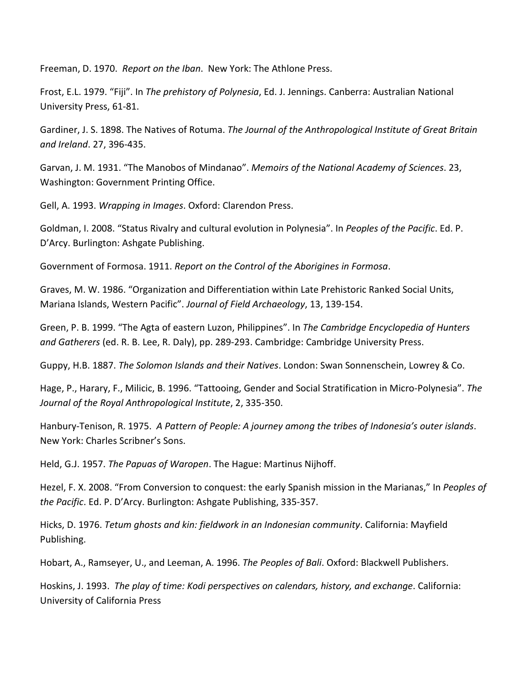Freeman, D. 1970. *Report on the Iban*. New York: The Athlone Press.

Frost, E.L. 1979. "Fiji". In *The prehistory of Polynesia*, Ed. J. Jennings. Canberra: Australian National University Press, 61-81.

Gardiner, J. S. 1898. The Natives of Rotuma. *The Journal of the Anthropological Institute of Great Britain and Ireland*. 27, 396-435.

Garvan, J. M. 1931. "The Manobos of Mindanao". *Memoirs of the National Academy of Sciences*. 23, Washington: Government Printing Office.

Gell, A. 1993. *Wrapping in Images*. Oxford: Clarendon Press.

Goldman, I. 2008. "Status Rivalry and cultural evolution in Polynesia". In *Peoples of the Pacific*. Ed. P. D'Arcy. Burlington: Ashgate Publishing.

Government of Formosa. 1911. *Report on the Control of the Aborigines in Formosa*.

Graves, M. W. 1986. "Organization and Differentiation within Late Prehistoric Ranked Social Units, Mariana Islands, Western Pacific". *Journal of Field Archaeology*, 13, 139-154.

Green, P. B. 1999. "The Agta of eastern Luzon, Philippines". In *The Cambridge Encyclopedia of Hunters and Gatherers* (ed. R. B. Lee, R. Daly), pp. 289-293. Cambridge: Cambridge University Press.

Guppy, H.B. 1887. *The Solomon Islands and their Natives*. London: Swan Sonnenschein, Lowrey & Co.

Hage, P., Harary, F., Milicic, B. 1996. "Tattooing, Gender and Social Stratification in Micro-Polynesia". *The Journal of the Royal Anthropological Institute*, 2, 335-350.

Hanbury-Tenison, R. 1975. *A Pattern of People: A journey among the tribes of Indonesia's outer islands*. New York: Charles Scribner's Sons.

Held, G.J. 1957. *The Papuas of Waropen*. The Hague: Martinus Nijhoff.

Hezel, F. X. 2008. "From Conversion to conquest: the early Spanish mission in the Marianas," In *Peoples of the Pacific*. Ed. P. D'Arcy. Burlington: Ashgate Publishing, 335-357.

Hicks, D. 1976. *Tetum ghosts and kin: fieldwork in an Indonesian community*. California: Mayfield Publishing.

Hobart, A., Ramseyer, U., and Leeman, A. 1996. *The Peoples of Bali*. Oxford: Blackwell Publishers.

Hoskins, J. 1993. *The play of time: Kodi perspectives on calendars, history, and exchange*. California: University of California Press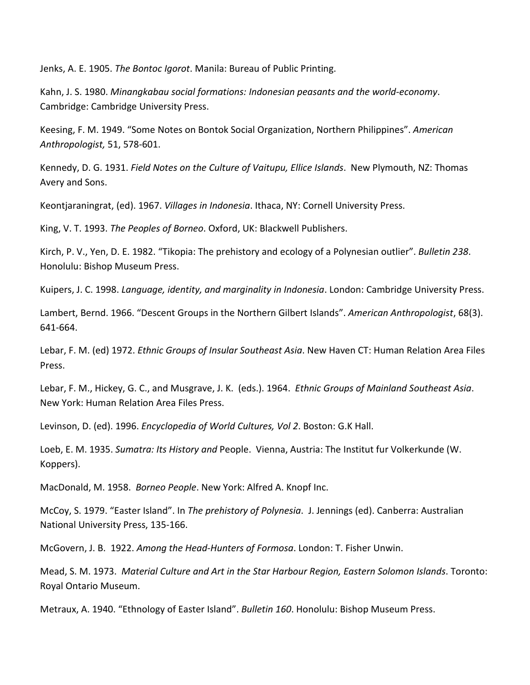Jenks, A. E. 1905. *The Bontoc Igorot*. Manila: Bureau of Public Printing.

Kahn, J. S. 1980. *Minangkabau social formations: Indonesian peasants and the world-economy*. Cambridge: Cambridge University Press.

Keesing, F. M. 1949. "Some Notes on Bontok Social Organization, Northern Philippines". *American Anthropologist,* 51, 578-601.

Kennedy, D. G. 1931. *Field Notes on the Culture of Vaitupu, Ellice Islands*. New Plymouth, NZ: Thomas Avery and Sons.

Keontjaraningrat, (ed). 1967. *Villages in Indonesia*. Ithaca, NY: Cornell University Press.

King, V. T. 1993. *The Peoples of Borneo*. Oxford, UK: Blackwell Publishers.

Kirch, P. V., Yen, D. E. 1982. "Tikopia: The prehistory and ecology of a Polynesian outlier". *Bulletin 238*. Honolulu: Bishop Museum Press.

Kuipers, J. C. 1998. *Language, identity, and marginality in Indonesia*. London: Cambridge University Press.

Lambert, Bernd. 1966. "Descent Groups in the Northern Gilbert Islands". *American Anthropologist*, 68(3). 641-664.

Lebar, F. M. (ed) 1972. *Ethnic Groups of Insular Southeast Asia*. New Haven CT: Human Relation Area Files Press.

Lebar, F. M., Hickey, G. C., and Musgrave, J. K. (eds.). 1964. *Ethnic Groups of Mainland Southeast Asia*. New York: Human Relation Area Files Press.

Levinson, D. (ed). 1996. *Encyclopedia of World Cultures, Vol 2*. Boston: G.K Hall.

Loeb, E. M. 1935. *Sumatra: Its History and* People. Vienna, Austria: The Institut fur Volkerkunde (W. Koppers).

MacDonald, M. 1958. *Borneo People*. New York: Alfred A. Knopf Inc.

McCoy, S. 1979. "Easter Island". In *The prehistory of Polynesia*. J. Jennings (ed). Canberra: Australian National University Press, 135-166.

McGovern, J. B. 1922. *Among the Head-Hunters of Formosa*. London: T. Fisher Unwin.

Mead, S. M. 1973. *Material Culture and Art in the Star Harbour Region, Eastern Solomon Islands*. Toronto: Royal Ontario Museum.

Metraux, A. 1940. "Ethnology of Easter Island". *Bulletin 160*. Honolulu: Bishop Museum Press.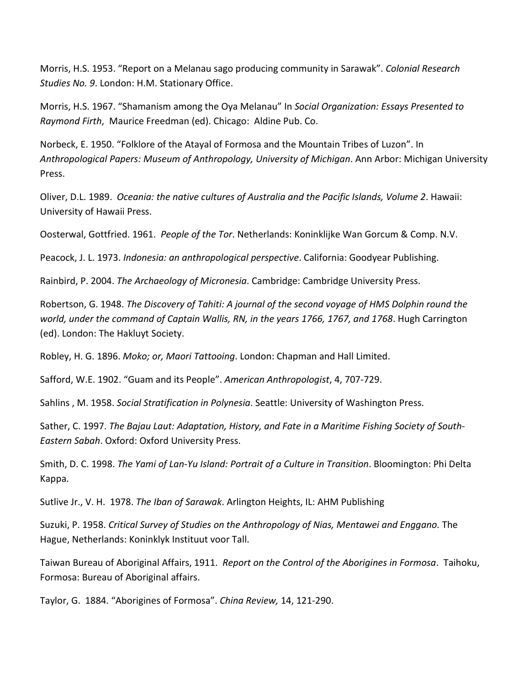Morris, H.S. 1953. "Report on a Melanau sago producing community in Sarawak". *Colonial Research Studies No. 9*. London: H.M. Stationary Office.

Morris, H.S. 1967. "Shamanism among the Oya Melanau" In *Social Organization: Essays Presented to Raymond Firth*, Maurice Freedman (ed). Chicago: Aldine Pub. Co.

Norbeck, E. 1950. "Folklore of the Atayal of Formosa and the Mountain Tribes of Luzon". In *Anthropological Papers: Museum of Anthropology, University of Michigan*. Ann Arbor: Michigan University Press.

Oliver, D.L. 1989. *Oceania: the native cultures of Australia and the Pacific Islands, Volume 2*. Hawaii: University of Hawaii Press.

Oosterwal, Gottfried. 1961. *People of the Tor*. Netherlands: Koninklijke Wan Gorcum & Comp. N.V.

Peacock, J. L. 1973. *Indonesia: an anthropological perspective*. California: Goodyear Publishing.

Rainbird, P. 2004. *The Archaeology of Micronesia*. Cambridge: Cambridge University Press.

Robertson, G. 1948. *The Discovery of Tahiti: A journal of the second voyage of HMS Dolphin round the world, under the command of Captain Wallis, RN, in the years 1766, 1767, and 1768*. Hugh Carrington (ed). London: The Hakluyt Society.

Robley, H. G. 1896. *Moko; or, Maori Tattooing*. London: Chapman and Hall Limited.

Safford, W.E. 1902. "Guam and its People". *American Anthropologist*, 4, 707-729.

Sahlins , M. 1958. *Social Stratification in Polynesia*. Seattle: University of Washington Press.

Sather, C. 1997. *The Bajau Laut: Adaptation, History, and Fate in a Maritime Fishing Society of South-Eastern Sabah*. Oxford: Oxford University Press.

Smith, D. C. 1998. *The Yami of Lan-Yu Island: Portrait of a Culture in Transition*. Bloomington: Phi Delta Kappa.

Sutlive Jr., V. H. 1978. *The Iban of Sarawak*. Arlington Heights, IL: AHM Publishing

Suzuki, P. 1958. *Critical Survey of Studies on the Anthropology of Nias, Mentawei and Enggano.* The Hague, Netherlands: Koninklyk Instituut voor Tall.

Taiwan Bureau of Aboriginal Affairs, 1911. *Report on the Control of the Aborigines in Formosa*. Taihoku, Formosa: Bureau of Aboriginal affairs.

Taylor, G. 1884. "Aborigines of Formosa". *China Review,* 14, 121-290.